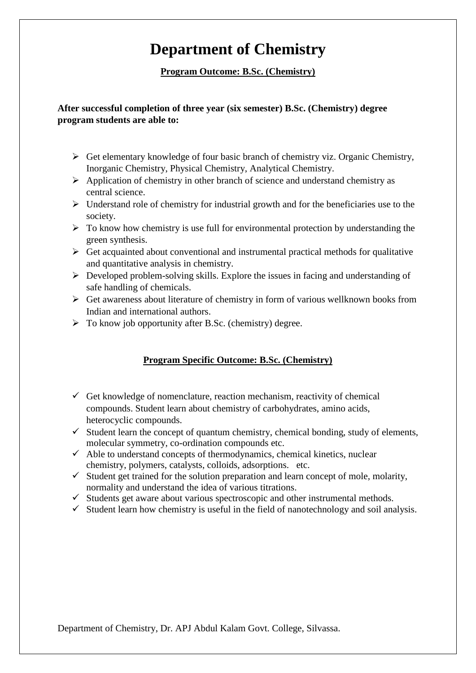# **Department of Chemistry**

**Program Outcome: B.Sc. (Chemistry)**

## **After successful completion of three year (six semester) B.Sc. (Chemistry) degree program students are able to:**

- $\triangleright$  Get elementary knowledge of four basic branch of chemistry viz. Organic Chemistry, Inorganic Chemistry, Physical Chemistry, Analytical Chemistry.
- $\triangleright$  Application of chemistry in other branch of science and understand chemistry as central science.
- $\triangleright$  Understand role of chemistry for industrial growth and for the beneficiaries use to the society.
- $\triangleright$  To know how chemistry is use full for environmental protection by understanding the green synthesis.
- $\triangleright$  Get acquainted about conventional and instrumental practical methods for qualitative and quantitative analysis in chemistry.
- $\triangleright$  Developed problem-solving skills. Explore the issues in facing and understanding of safe handling of chemicals.
- $\triangleright$  Get awareness about literature of chemistry in form of various wellknown books from Indian and international authors.
- $\triangleright$  To know job opportunity after B.Sc. (chemistry) degree.

## **Program Specific Outcome: B.Sc. (Chemistry)**

- $\checkmark$  Get knowledge of nomenclature, reaction mechanism, reactivity of chemical compounds. Student learn about chemistry of carbohydrates, amino acids, heterocyclic compounds.
- $\checkmark$  Student learn the concept of quantum chemistry, chemical bonding, study of elements, molecular symmetry, co-ordination compounds etc.
- $\checkmark$  Able to understand concepts of thermodynamics, chemical kinetics, nuclear chemistry, polymers, catalysts, colloids, adsorptions. etc.
- $\checkmark$  Student get trained for the solution preparation and learn concept of mole, molarity, normality and understand the idea of various titrations.
- $\checkmark$  Students get aware about various spectroscopic and other instrumental methods.
- $\checkmark$  Student learn how chemistry is useful in the field of nanotechnology and soil analysis.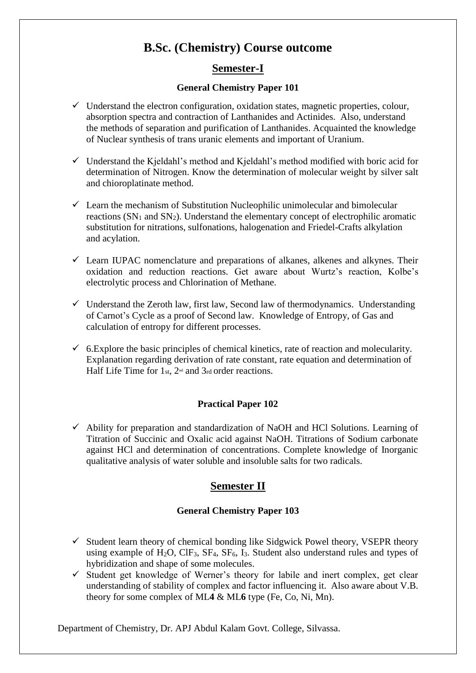## **B.Sc. (Chemistry) Course outcome**

## **Semester-I**

#### **General Chemistry Paper 101**

- $\checkmark$  Understand the electron configuration, oxidation states, magnetic properties, colour, absorption spectra and contraction of Lanthanides and Actinides. Also, understand the methods of separation and purification of Lanthanides. Acquainted the knowledge of Nuclear synthesis of trans uranic elements and important of Uranium.
- $\checkmark$  Understand the Kjeldahl's method and Kjeldahl's method modified with boric acid for determination of Nitrogen. Know the determination of molecular weight by silver salt and chioroplatinate method.
- $\checkmark$  Learn the mechanism of Substitution Nucleophilic unimolecular and bimolecular reactions  $(SN_1$  and  $SN_2$ ). Understand the elementary concept of electrophilic aromatic substitution for nitrations, sulfonations, halogenation and Friedel-Crafts alkylation and acylation.
- $\checkmark$  Learn IUPAC nomenclature and preparations of alkanes, alkenes and alkynes. Their oxidation and reduction reactions. Get aware about Wurtz's reaction, Kolbe's electrolytic process and Chlorination of Methane.
- $\checkmark$  Understand the Zeroth law, first law, Second law of thermodynamics. Understanding of Carnot's Cycle as a proof of Second law. Knowledge of Entropy, of Gas and calculation of entropy for different processes.
- $6.$  Explore the basic principles of chemical kinetics, rate of reaction and molecularity. Explanation regarding derivation of rate constant, rate equation and determination of Half Life Time for  $1_{st}$ ,  $2^{nd}$  and  $3_{rd}$  order reactions.

#### **Practical Paper 102**

 $\checkmark$  Ability for preparation and standardization of NaOH and HCl Solutions. Learning of Titration of Succinic and Oxalic acid against NaOH. Titrations of Sodium carbonate against HCl and determination of concentrations. Complete knowledge of Inorganic qualitative analysis of water soluble and insoluble salts for two radicals.

## **Semester II**

#### **General Chemistry Paper 103**

- $\checkmark$  Student learn theory of chemical bonding like Sidgwick Powel theory, VSEPR theory using example of  $H_2O$ ,  $CIF_3$ ,  $SF_4$ ,  $SF_6$ ,  $I_3$ . Student also understand rules and types of hybridization and shape of some molecules.
- $\checkmark$  Student get knowledge of Werner's theory for labile and inert complex, get clear understanding of stability of complex and factor influencing it. Also aware about V.B. theory for some complex of ML**4** & ML**6** type (Fe, Co, Ni, Mn).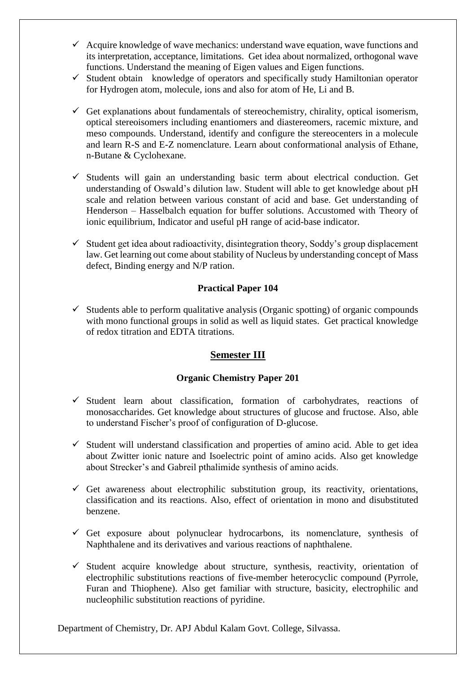- $\checkmark$  Acquire knowledge of wave mechanics: understand wave equation, wave functions and its interpretation, acceptance, limitations. Get idea about normalized, orthogonal wave functions. Understand the meaning of Eigen values and Eigen functions.
- $\checkmark$  Student obtain knowledge of operators and specifically study Hamiltonian operator for Hydrogen atom, molecule, ions and also for atom of He, Li and B.
- $\checkmark$  Get explanations about fundamentals of stereochemistry, chirality, optical isomerism, optical stereoisomers including enantiomers and diastereomers, racemic mixture, and meso compounds. Understand, identify and configure the stereocenters in a molecule and learn R-S and E-Z nomenclature. Learn about conformational analysis of Ethane, n-Butane & Cyclohexane.
- $\checkmark$  Students will gain an understanding basic term about electrical conduction. Get understanding of Oswald's dilution law. Student will able to get knowledge about pH scale and relation between various constant of acid and base. Get understanding of Henderson – Hasselbalch equation for buffer solutions. Accustomed with Theory of ionic equilibrium, Indicator and useful pH range of acid-base indicator.
- $\checkmark$  Student get idea about radioactivity, disintegration theory, Soddy's group displacement law. Get learning out come about stability of Nucleus by understanding concept of Mass defect, Binding energy and N/P ration.

#### **Practical Paper 104**

 $\checkmark$  Students able to perform qualitative analysis (Organic spotting) of organic compounds with mono functional groups in solid as well as liquid states. Get practical knowledge of redox titration and EDTA titrations.

#### **Semester III**

#### **Organic Chemistry Paper 201**

- $\checkmark$  Student learn about classification, formation of carbohydrates, reactions of monosaccharides. Get knowledge about structures of glucose and fructose. Also, able to understand Fischer's proof of configuration of D-glucose.
- $\checkmark$  Student will understand classification and properties of amino acid. Able to get idea about Zwitter ionic nature and Isoelectric point of amino acids. Also get knowledge about Strecker's and Gabreil pthalimide synthesis of amino acids.
- Get awareness about electrophilic substitution group, its reactivity, orientations, classification and its reactions. Also, effect of orientation in mono and disubstituted benzene.
- $\checkmark$  Get exposure about polynuclear hydrocarbons, its nomenclature, synthesis of Naphthalene and its derivatives and various reactions of naphthalene.
- $\checkmark$  Student acquire knowledge about structure, synthesis, reactivity, orientation of electrophilic substitutions reactions of five-member heterocyclic compound (Pyrrole, Furan and Thiophene). Also get familiar with structure, basicity, electrophilic and nucleophilic substitution reactions of pyridine.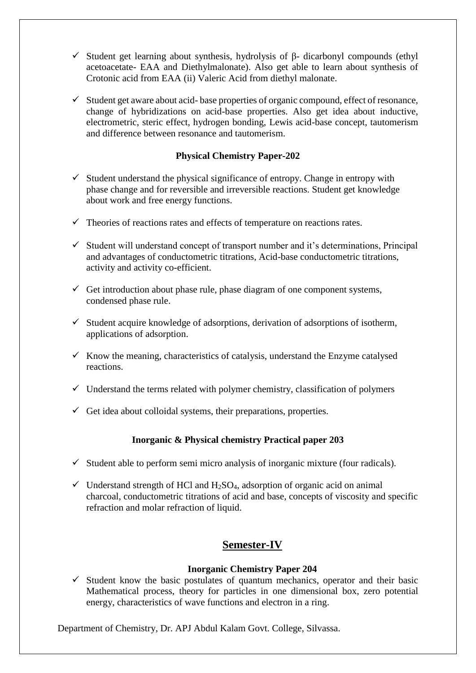- $\checkmark$  Student get learning about synthesis, hydrolysis of β- dicarbonyl compounds (ethyl acetoacetate- EAA and Diethylmalonate). Also get able to learn about synthesis of Crotonic acid from EAA (ii) Valeric Acid from diethyl malonate.
- $\checkmark$  Student get aware about acid-base properties of organic compound, effect of resonance, change of hybridizations on acid-base properties. Also get idea about inductive, electrometric, steric effect, hydrogen bonding, Lewis acid-base concept, tautomerism and difference between resonance and tautomerism.

#### **Physical Chemistry Paper-202**

- $\checkmark$  Student understand the physical significance of entropy. Change in entropy with phase change and for reversible and irreversible reactions. Student get knowledge about work and free energy functions.
- $\checkmark$  Theories of reactions rates and effects of temperature on reactions rates.
- $\checkmark$  Student will understand concept of transport number and it's determinations, Principal and advantages of conductometric titrations, Acid-base conductometric titrations, activity and activity co-efficient.
- $\checkmark$  Get introduction about phase rule, phase diagram of one component systems, condensed phase rule.
- $\checkmark$  Student acquire knowledge of adsorptions, derivation of adsorptions of isotherm, applications of adsorption.
- $\checkmark$  Know the meaning, characteristics of catalysis, understand the Enzyme catalysed reactions.
- $\checkmark$  Understand the terms related with polymer chemistry, classification of polymers
- $\checkmark$  Get idea about colloidal systems, their preparations, properties.

#### **Inorganic & Physical chemistry Practical paper 203**

- $\checkmark$  Student able to perform semi micro analysis of inorganic mixture (four radicals).
- $\checkmark$  Understand strength of HCl and H<sub>2</sub>SO<sub>4</sub>, adsorption of organic acid on animal charcoal, conductometric titrations of acid and base, concepts of viscosity and specific refraction and molar refraction of liquid.

## **Semester-IV**

#### **Inorganic Chemistry Paper 204**

 $\checkmark$  Student know the basic postulates of quantum mechanics, operator and their basic Mathematical process, theory for particles in one dimensional box, zero potential energy, characteristics of wave functions and electron in a ring.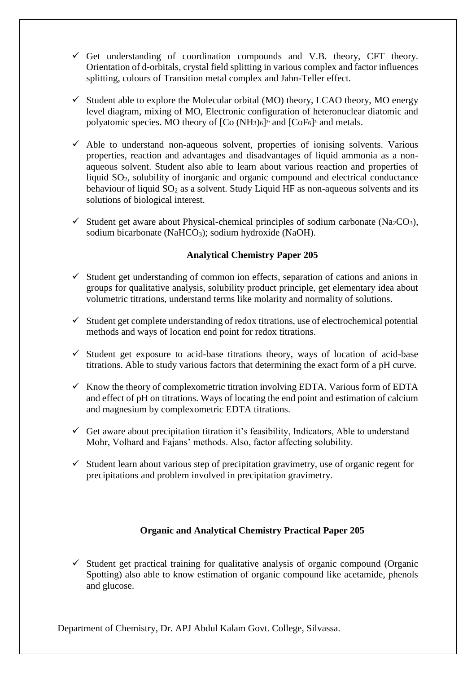- $\checkmark$  Get understanding of coordination compounds and V.B. theory, CFT theory. Orientation of d-orbitals, crystal field splitting in various complex and factor influences splitting, colours of Transition metal complex and Jahn-Teller effect.
- $\checkmark$  Student able to explore the Molecular orbital (MO) theory, LCAO theory, MO energy level diagram, mixing of MO, Electronic configuration of heteronuclear diatomic and polyatomic species. MO theory of [Co (NH3)6]<sup>3+</sup> and [CoF6]<sup>3</sup> and metals.
- $\checkmark$  Able to understand non-aqueous solvent, properties of ionising solvents. Various properties, reaction and advantages and disadvantages of liquid ammonia as a nonaqueous solvent. Student also able to learn about various reaction and properties of liquid SO<sub>2</sub>, solubility of inorganic and organic compound and electrical conductance behaviour of liquid  $SO_2$  as a solvent. Study Liquid HF as non-aqueous solvents and its solutions of biological interest.
- $\checkmark$  Student get aware about Physical-chemical principles of sodium carbonate (Na<sub>2</sub>CO<sub>3</sub>), sodium bicarbonate (NaHCO<sub>3</sub>); sodium hydroxide (NaOH).

#### **Analytical Chemistry Paper 205**

- $\checkmark$  Student get understanding of common ion effects, separation of cations and anions in groups for qualitative analysis, solubility product principle, get elementary idea about volumetric titrations, understand terms like molarity and normality of solutions.
- $\checkmark$  Student get complete understanding of redox titrations, use of electrochemical potential methods and ways of location end point for redox titrations.
- $\checkmark$  Student get exposure to acid-base titrations theory, ways of location of acid-base titrations. Able to study various factors that determining the exact form of a pH curve.
- $\checkmark$  Know the theory of complexometric titration involving EDTA. Various form of EDTA and effect of pH on titrations. Ways of locating the end point and estimation of calcium and magnesium by complexometric EDTA titrations.
- Get aware about precipitation titration it's feasibility, Indicators, Able to understand Mohr, Volhard and Fajans' methods. Also, factor affecting solubility.
- Student learn about various step of precipitation gravimetry, use of organic regent for precipitations and problem involved in precipitation gravimetry.

#### **Organic and Analytical Chemistry Practical Paper 205**

 $\checkmark$  Student get practical training for qualitative analysis of organic compound (Organic Spotting) also able to know estimation of organic compound like acetamide, phenols and glucose.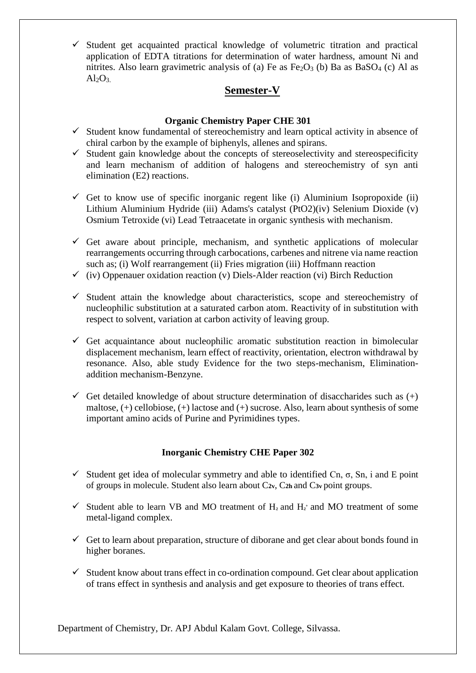$\checkmark$  Student get acquainted practical knowledge of volumetric titration and practical application of EDTA titrations for determination of water hardness, amount Ni and nitrites. Also learn gravimetric analysis of (a) Fe as  $Fe<sub>2</sub>O<sub>3</sub>$  (b) Ba as BaSO<sub>4</sub> (c) Al as  $Al_2O_3$ 

## **Semester-V**

## **Organic Chemistry Paper CHE 301**

- $\checkmark$  Student know fundamental of stereochemistry and learn optical activity in absence of chiral carbon by the example of biphenyls, allenes and spirans.
- $\checkmark$  Student gain knowledge about the concepts of stereoselectivity and stereospecificity and learn mechanism of addition of halogens and stereochemistry of syn anti elimination (E2) reactions.
- Get to know use of specific inorganic regent like (i) Aluminium Isopropoxide (ii) Lithium Aluminium Hydride (iii) Adams's catalyst (PtO2)(iv) Selenium Dioxide (v) Osmium Tetroxide (vi) Lead Tetraacetate in organic synthesis with mechanism.
- $\checkmark$  Get aware about principle, mechanism, and synthetic applications of molecular rearrangements occurring through carbocations, carbenes and nitrene via name reaction such as; (i) Wolf rearrangement (ii) Fries migration (iii) Hoffmann reaction
- $\checkmark$  (iv) Oppenauer oxidation reaction (v) Diels-Alder reaction (vi) Birch Reduction
- $\checkmark$  Student attain the knowledge about characteristics, scope and stereochemistry of nucleophilic substitution at a saturated carbon atom. Reactivity of in substitution with respect to solvent, variation at carbon activity of leaving group.
- $\checkmark$  Get acquaintance about nucleophilic aromatic substitution reaction in bimolecular displacement mechanism, learn effect of reactivity, orientation, electron withdrawal by resonance. Also, able study Evidence for the two steps-mechanism, Eliminationaddition mechanism-Benzyne.
- Get detailed knowledge of about structure determination of disaccharides such as  $(+)$ maltose, (+) cellobiose, (+) lactose and (+) sucrose. Also, learn about synthesis of some important amino acids of Purine and Pyrimidines types.

## **Inorganic Chemistry CHE Paper 302**

- Student get idea of molecular symmetry and able to identified Cn,  $\sigma$ , Sn, i and E point of groups in molecule. Student also learn about C**2v**, C**2h** and C**3v** point groups.
- Student able to learn VB and MO treatment of  $H_2$  and  $H_2$ <sup>+</sup> and MO treatment of some metal-ligand complex.
- $\checkmark$  Get to learn about preparation, structure of diborane and get clear about bonds found in higher boranes.
- $\checkmark$  Student know about trans effect in co-ordination compound. Get clear about application of trans effect in synthesis and analysis and get exposure to theories of trans effect.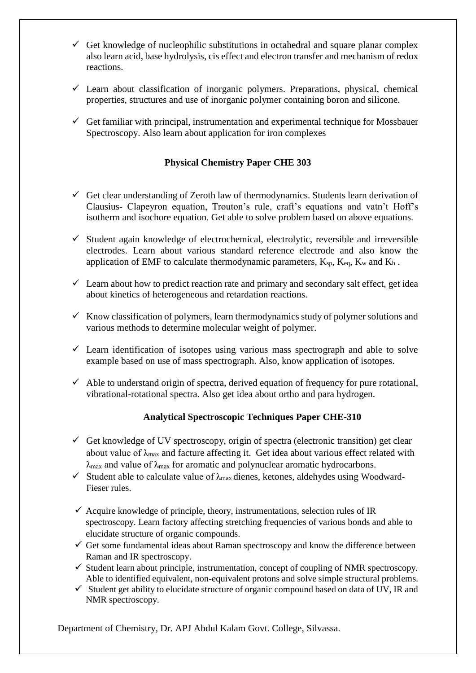- $\checkmark$  Get knowledge of nucleophilic substitutions in octahedral and square planar complex also learn acid, base hydrolysis, cis effect and electron transfer and mechanism of redox reactions.
- $\checkmark$  Learn about classification of inorganic polymers. Preparations, physical, chemical properties, structures and use of inorganic polymer containing boron and silicone.
- $\checkmark$  Get familiar with principal, instrumentation and experimental technique for Mossbauer Spectroscopy. Also learn about application for iron complexes

#### **Physical Chemistry Paper CHE 303**

- $\checkmark$  Get clear understanding of Zeroth law of thermodynamics. Students learn derivation of Clausius- Clapeyron equation, Trouton's rule, craft's equations and vatn't Hoff's isotherm and isochore equation. Get able to solve problem based on above equations.
- $\checkmark$  Student again knowledge of electrochemical, electrolytic, reversible and irreversible electrodes. Learn about various standard reference electrode and also know the application of EMF to calculate thermodynamic parameters,  $K_{\text{sp}}$ ,  $K_{\text{eq}}$ ,  $K_{\text{w}}$  and  $K_{\text{h}}$ .
- $\checkmark$  Learn about how to predict reaction rate and primary and secondary salt effect, get idea about kinetics of heterogeneous and retardation reactions.
- $\checkmark$  Know classification of polymers, learn thermodynamics study of polymer solutions and various methods to determine molecular weight of polymer.
- $\checkmark$  Learn identification of isotopes using various mass spectrograph and able to solve example based on use of mass spectrograph. Also, know application of isotopes.
- $\checkmark$  Able to understand origin of spectra, derived equation of frequency for pure rotational, vibrational-rotational spectra. Also get idea about ortho and para hydrogen.

#### **Analytical Spectroscopic Techniques Paper CHE-310**

- $\checkmark$  Get knowledge of UV spectroscopy, origin of spectra (electronic transition) get clear about value of  $\lambda_{\text{max}}$  and facture affecting it. Get idea about various effect related with  $\lambda_{\text{max}}$  and value of  $\lambda_{\text{max}}$  for aromatic and polynuclear aromatic hydrocarbons.
- $\checkmark$  Student able to calculate value of  $\lambda_{\text{max}}$  dienes, ketones, aldehydes using Woodward-Fieser rules.
- $\checkmark$  Acquire knowledge of principle, theory, instrumentations, selection rules of IR spectroscopy. Learn factory affecting stretching frequencies of various bonds and able to elucidate structure of organic compounds.
- $\checkmark$  Get some fundamental ideas about Raman spectroscopy and know the difference between Raman and IR spectroscopy.
- $\checkmark$  Student learn about principle, instrumentation, concept of coupling of NMR spectroscopy. Able to identified equivalent, non-equivalent protons and solve simple structural problems.
- $\checkmark$  Student get ability to elucidate structure of organic compound based on data of UV, IR and NMR spectroscopy.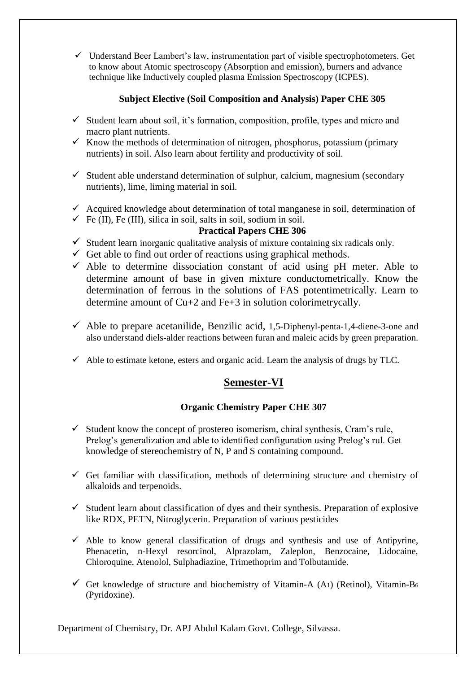$\checkmark$  Understand Beer Lambert's law, instrumentation part of visible spectrophotometers. Get to know about Atomic spectroscopy (Absorption and emission), burners and advance technique like Inductively coupled plasma Emission Spectroscopy (ICPES).

#### **Subject Elective (Soil Composition and Analysis) Paper CHE 305**

- $\checkmark$  Student learn about soil, it's formation, composition, profile, types and micro and macro plant nutrients.
- $\checkmark$  Know the methods of determination of nitrogen, phosphorus, potassium (primary nutrients) in soil. Also learn about fertility and productivity of soil.
- $\checkmark$  Student able understand determination of sulphur, calcium, magnesium (secondary nutrients), lime, liming material in soil.
- $\checkmark$  Acquired knowledge about determination of total manganese in soil, determination of
- $\checkmark$  Fe (II), Fe (III), silica in soil, salts in soil, sodium in soil.

#### **Practical Papers CHE 306**

- $\checkmark$  Student learn inorganic qualitative analysis of mixture containing six radicals only.
- $\checkmark$  Get able to find out order of reactions using graphical methods.
- $\checkmark$  Able to determine dissociation constant of acid using pH meter. Able to determine amount of base in given mixture conductometrically. Know the determination of ferrous in the solutions of FAS potentimetrically. Learn to determine amount of Cu+2 and Fe+3 in solution colorimetrycally.
- $\checkmark$  Able to prepare acetanilide, Benzilic acid, 1,5-Diphenyl-penta-1,4-diene-3-one and also understand diels-alder reactions between furan and maleic acids by green preparation.
- $\checkmark$  Able to estimate ketone, esters and organic acid. Learn the analysis of drugs by TLC.

## **Semester-VI**

#### **Organic Chemistry Paper CHE 307**

- $\checkmark$  Student know the concept of prostereo isomerism, chiral synthesis, Cram's rule, Prelog's generalization and able to identified configuration using Prelog's rul. Get knowledge of stereochemistry of N, P and S containing compound.
- $\checkmark$  Get familiar with classification, methods of determining structure and chemistry of alkaloids and terpenoids.
- $\checkmark$  Student learn about classification of dyes and their synthesis. Preparation of explosive like RDX, PETN, Nitroglycerin. Preparation of various pesticides
- $\checkmark$  Able to know general classification of drugs and synthesis and use of Antipyrine, Phenacetin, n-Hexyl resorcinol, Alprazolam, Zaleplon, Benzocaine, Lidocaine, Chloroquine, Atenolol, Sulphadiazine, Trimethoprim and Tolbutamide.
- Get knowledge of structure and biochemistry of Vitamin-A (A1) (Retinol), Vitamin-B<sub>6</sub> (Pyridoxine).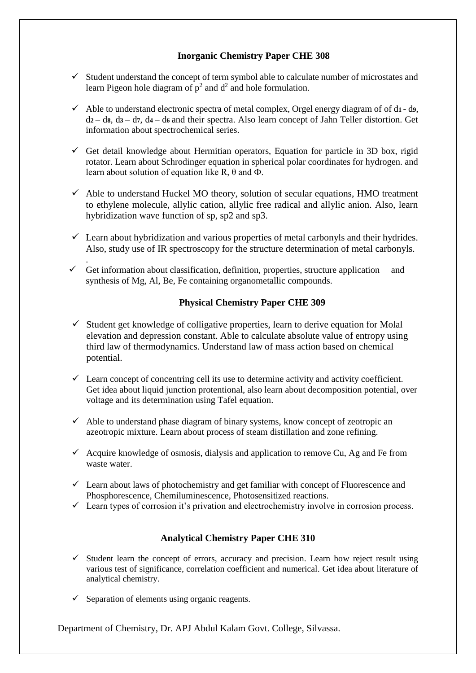## **Inorganic Chemistry Paper CHE 308**

- $\checkmark$  Student understand the concept of term symbol able to calculate number of microstates and learn Pigeon hole diagram of  $p^2$  and  $d^2$  and hole formulation.
- Able to understand electronic spectra of metal complex, Orgel energy diagram of of d**1**  d**9**, d**2** – d**8**, d**3** – d**7**, d**4** – d**6** and their spectra. Also learn concept of Jahn Teller distortion. Get information about spectrochemical series.
- Get detail knowledge about Hermitian operators, Equation for particle in 3D box, rigid rotator. Learn about Schrodinger equation in spherical polar coordinates for hydrogen. and learn about solution of equation like R, θ and Ф.
- $\checkmark$  Able to understand Huckel MO theory, solution of secular equations, HMO treatment to ethylene molecule, allylic cation, allylic free radical and allylic anion. Also, learn hybridization wave function of sp, sp2 and sp3.
- $\checkmark$  Learn about hybridization and various properties of metal carbonyls and their hydrides. Also, study use of IR spectroscopy for the structure determination of metal carbonyls.
- .  $\checkmark$  Get information about classification, definition, properties, structure application and synthesis of Mg, Al, Be, Fe containing organometallic compounds.

#### **Physical Chemistry Paper CHE 309**

- $\checkmark$  Student get knowledge of colligative properties, learn to derive equation for Molal elevation and depression constant. Able to calculate absolute value of entropy using third law of thermodynamics. Understand law of mass action based on chemical potential.
- $\checkmark$  Learn concept of concentring cell its use to determine activity and activity coefficient. Get idea about liquid junction protentional, also learn about decomposition potential, over voltage and its determination using Tafel equation.
- $\checkmark$  Able to understand phase diagram of binary systems, know concept of zeotropic an azeotropic mixture. Learn about process of steam distillation and zone refining.
- $\checkmark$  Acquire knowledge of osmosis, dialysis and application to remove Cu, Ag and Fe from waste water.
- $\checkmark$  Learn about laws of photochemistry and get familiar with concept of Fluorescence and Phosphorescence, Chemiluminescence, Photosensitized reactions.
- $\checkmark$  Learn types of corrosion it's privation and electrochemistry involve in corrosion process.

#### **Analytical Chemistry Paper CHE 310**

- $\checkmark$  Student learn the concept of errors, accuracy and precision. Learn how reject result using various test of significance, correlation coefficient and numerical. Get idea about literature of analytical chemistry.
- $\checkmark$  Separation of elements using organic reagents.